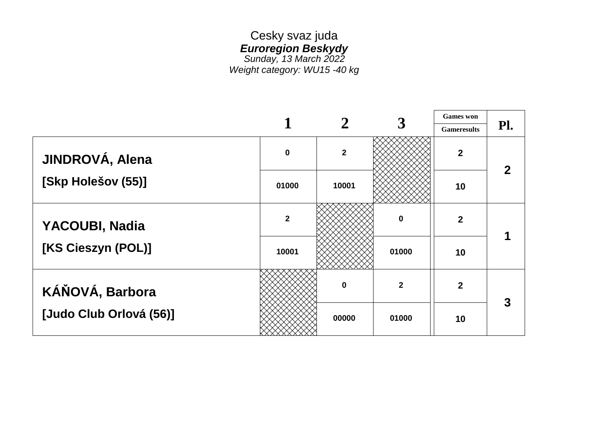#### Cesky svaz juda *Euroregion Beskydy Sunday, 13 March 2022 Weight category: WU15 -40 kg*

|                         |                  |                |                | <b>Games</b> won   |     |
|-------------------------|------------------|----------------|----------------|--------------------|-----|
|                         |                  |                |                | <b>Gameresults</b> | Pl. |
| JINDROVÁ, Alena         | $\boldsymbol{0}$ | $\overline{2}$ |                | $\mathbf{2}$       |     |
| [Skp Holešov (55)]      | 01000            | 10001          |                | 10                 |     |
| YACOUBI, Nadia          | $\overline{2}$   |                | $\mathbf 0$    | $\overline{2}$     |     |
| [KS Cieszyn (POL)]      | 10001            |                | 01000          | 10                 |     |
| KÁŇOVÁ, Barbora         |                  | 0              | $\overline{2}$ | $\overline{2}$     |     |
| [Judo Club Orlová (56)] |                  | 00000          | 01000          | 10                 |     |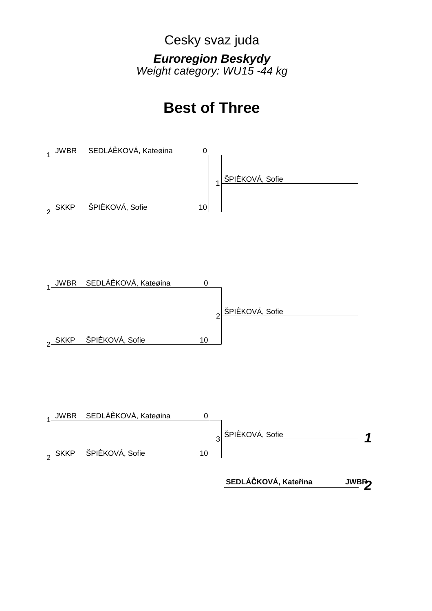Cesky svaz juda *Euroregion Beskydy Weight category: WU15 -44 kg*

## **Best of Three**







**SEDLÁČKOVÁ, Kateřina JWBR**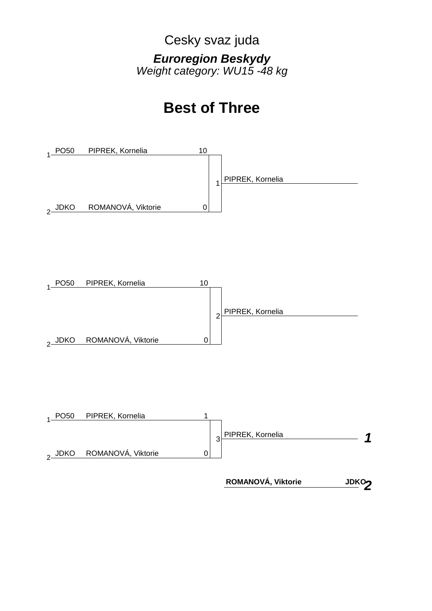Cesky svaz juda *Euroregion Beskydy Weight category: WU15 -48 kg*

## **Best of Three**







*2* **ROMANOVÁ, Viktorie**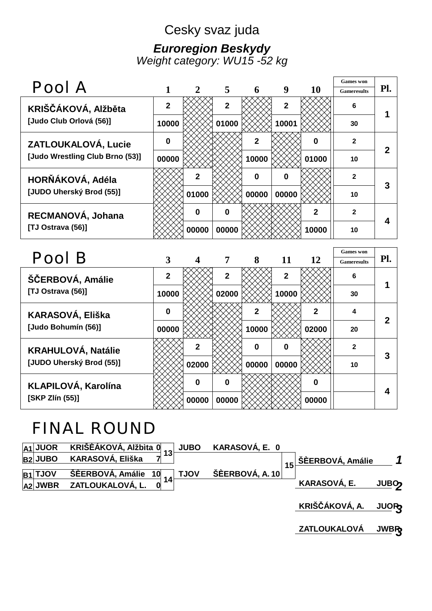### Cesky svaz juda *Euroregion Beskydy Weight category: WU15 -52 kg*

| Pool A                          |              |              |              |             |                |              | <b>Games</b> won   | Pl. |
|---------------------------------|--------------|--------------|--------------|-------------|----------------|--------------|--------------------|-----|
|                                 |              |              | 5            | 6           | 9              | <b>10</b>    | <b>Gameresults</b> |     |
| KRIŠČÁKOVÁ, Alžběta             | $\mathbf{2}$ |              | $\mathbf{2}$ |             | $\overline{2}$ |              | 6                  |     |
| [Judo Club Orlová (56)]         | 10000        |              | 01000        |             | 10001          |              | 30                 |     |
| ZATLOUKALOVÁ, Lucie             | $\mathbf{0}$ |              |              | $\mathbf 2$ |                | 0            | $\mathbf{2}$       | כי  |
| [Judo Wrestling Club Brno (53)] | 00000        |              |              | 10000       |                | 01000        | 10                 |     |
| HORŇÁKOVÁ, Adéla                |              | 2            |              | $\Omega$    | 0              |              | $\mathbf{2}$       |     |
| [JUDO Uherský Brod (55)]        |              | 01000        |              | 00000       | 00000          |              | 10                 |     |
| RECMANOVÁ, Johana               |              | $\mathbf{0}$ | $\Omega$     |             |                | $\mathbf{2}$ | $\mathbf{2}$       |     |
| [TJ Ostrava (56)]               |              | 00000        | 00000        |             |                | 10000        | 10                 |     |
|                                 |              |              |              |             |                |              |                    |     |

| Pool B                    |              |              |                |              |              |                  | <b>Games</b> won   |     |  |
|---------------------------|--------------|--------------|----------------|--------------|--------------|------------------|--------------------|-----|--|
|                           |              |              | $\overline{7}$ | 8            | 11           | <b>12</b>        | <b>Gameresults</b> | Pl. |  |
| ŠČERBOVÁ, Amálie          | $\mathbf{2}$ |              | $\mathbf{2}$   |              | $\mathbf{2}$ |                  | 6                  |     |  |
| [TJ Ostrava (56)]         | 10000        |              | 02000          |              | 10000        |                  | 30                 |     |  |
| KARASOVÁ, Eliška          | $\mathbf{0}$ |              |                | $\mathbf{2}$ |              | $\mathbf{2}$     | 4                  | 2   |  |
| [Judo Bohumín (56)]       | 00000        |              |                | 10000        |              | 02000            | 20                 |     |  |
| <b>KRAHULOVÁ, Natálie</b> |              | $\mathbf{2}$ |                | 0            | 0            |                  | $\mathbf{2}$       | 3   |  |
| [JUDO Uherský Brod (55)]  |              | 02000        |                | 00000        | 00000        |                  | 10                 |     |  |
| KLAPILOVÁ, Karolína       |              | $\mathbf{0}$ | $\bf{0}$       |              |              | $\boldsymbol{0}$ |                    | Δ   |  |
| [SKP Zlín (55)]           |              | 00000        | 00000          |              |              | 00000            |                    |     |  |

# FINAL ROUND

|             | A1 JUOR KRIŠĖÁKOVÁ, AIžbita 0 13 JUBO                                                                     | KARASOVÁ, E.   0 |    |                  |                         |  |
|-------------|-----------------------------------------------------------------------------------------------------------|------------------|----|------------------|-------------------------|--|
| $ B2 $ JUBO | KARASOVÁ, Eliška                                                                                          |                  | 15 | ŠÈERBOVÁ, Amálie |                         |  |
| $ B1 $ TJOV | $\frac{\text{SÈERBOVÅ, Amálie} \quad 10}{\text{SIEERBOV}} \quad 14 \quad \frac{\text{TJOV}}{\text{SIER}}$ | ŠÈERBOVÁ, A. 10  |    |                  |                         |  |
|             | $ A2 $ JWBR ZATLOUKALOVÁ, L. 0                                                                            |                  |    | KARASOVÁ, E.     | <b>JUBO<sub>2</sub></b> |  |
|             |                                                                                                           |                  |    |                  |                         |  |

*3* **KRIŠČÁKOVÁ, A. JUOR**

*3* **ZATLOUKALOVÁ JWBR**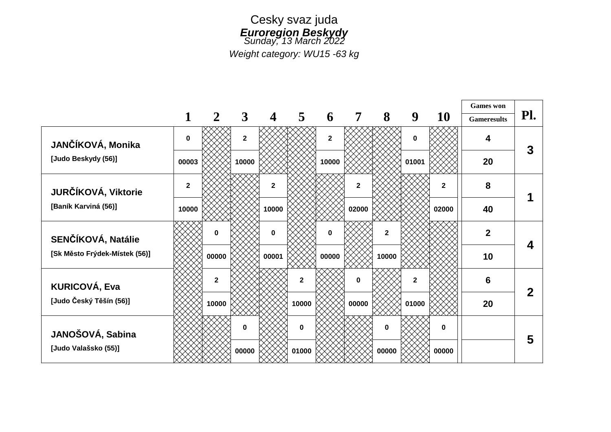

*Weight category: WU15 -63 kg*

|                               |              |                |                |              |              |              |              |                |              |             | <b>Games</b> won   |              |
|-------------------------------|--------------|----------------|----------------|--------------|--------------|--------------|--------------|----------------|--------------|-------------|--------------------|--------------|
|                               |              | $\mathbf{2}$   | $\mathbf{3}$   | 4            | 5            | 6            | 7            | 8              | 9            | <b>10</b>   | <b>Gameresults</b> | Pl.          |
| JANČÍKOVÁ, Monika             | $\bf{0}$     |                | $\overline{2}$ |              |              | $\mathbf{2}$ |              |                | $\bf{0}$     |             | 4                  | $\mathbf{3}$ |
| [Judo Beskydy (56)]           | 00003        |                | 10000          |              |              | 10000        |              |                | 01001        |             | 20                 |              |
| JURČÍKOVÁ, Viktorie           | $\mathbf{2}$ |                |                | $\mathbf{2}$ |              |              | $\mathbf{2}$ |                |              | $\mathbf 2$ | 8                  |              |
| [Baník Karviná (56)]          | 10000        |                |                | 10000        |              |              | 02000        |                |              | 02000       | 40                 |              |
| SENČÍKOVÁ, Natálie            |              | 0              |                | $\mathbf 0$  |              | $\bf{0}$     |              | $\overline{2}$ |              |             | $\overline{2}$     | 4            |
| [Sk Město Frýdek-Místek (56)] |              | 00000          |                | 00001        |              | 00000        |              | 10000          |              |             | 10                 |              |
| <b>KURICOVÁ, Eva</b>          |              | $\overline{2}$ |                |              | $\mathbf{2}$ |              | $\bf{0}$     |                | $\mathbf{2}$ |             | 6                  | $\mathbf 2$  |
| [Judo Český Těšín (56)]       |              | 10000          |                |              | 10000        |              | 00000        |                | 01000        |             | 20                 |              |
| JANOŠOVÁ, Sabina              |              |                | 0              |              | $\mathbf 0$  |              |              | $\bf{0}$       |              | $\mathbf 0$ |                    | 5            |
| [Judo Valašsko (55)]          |              |                | 00000          |              | 01000        |              |              | 00000          |              | 00000       |                    |              |